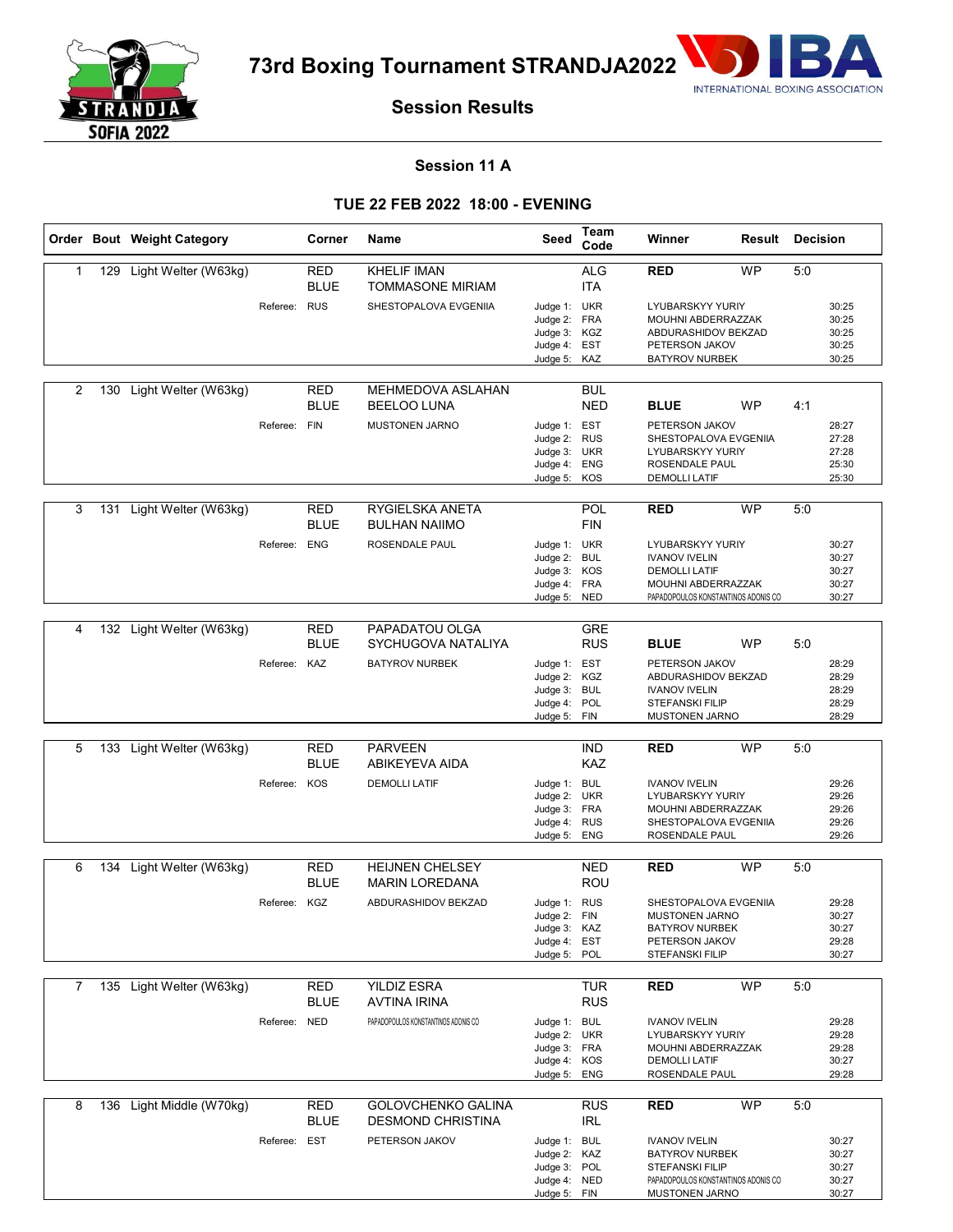

**73rd Boxing Tournament STRANDJA2022**



# **Session Results**

# **Session 11 A**

### **TUE 22 FEB 2022 18:00 - EVENING**

|   |     | Order Bout Weight Category |              | Corner                    | Name                                                  | Seed                                                                         | Team<br>Code             | Winner                                                                                                                           | Result    | <b>Decision</b> |                                           |
|---|-----|----------------------------|--------------|---------------------------|-------------------------------------------------------|------------------------------------------------------------------------------|--------------------------|----------------------------------------------------------------------------------------------------------------------------------|-----------|-----------------|-------------------------------------------|
| 1 |     | 129 Light Welter (W63kg)   |              | RED<br><b>BLUE</b>        | <b>KHELIF IMAN</b><br><b>TOMMASONE MIRIAM</b>         |                                                                              | <b>ALG</b><br><b>ITA</b> | <b>RED</b>                                                                                                                       | <b>WP</b> | 5:0             |                                           |
|   |     |                            | Referee: RUS |                           | SHESTOPALOVA EVGENIIA                                 | Judge 1: UKR<br>Judge 2: FRA<br>Judge 3: KGZ<br>Judge 4: EST<br>Judge 5: KAZ |                          | LYUBARSKYY YURIY<br>MOUHNI ABDERRAZZAK<br>ABDURASHIDOV BEKZAD<br>PETERSON JAKOV<br><b>BATYROV NURBEK</b>                         |           |                 | 30:25<br>30:25<br>30:25<br>30:25<br>30:25 |
| 2 | 130 | Light Welter (W63kg)       |              | RED<br><b>BLUE</b>        | MEHMEDOVA ASLAHAN<br>BEELOO LUNA                      |                                                                              | <b>BUL</b><br><b>NED</b> | <b>BLUE</b>                                                                                                                      | <b>WP</b> | 4:1             |                                           |
|   |     |                            | Referee:     | <b>FIN</b>                | <b>MUSTONEN JARNO</b>                                 | Judge 1: EST<br>Judge 2: RUS<br>Judge 3: UKR<br>Judge 4: ENG<br>Judge 5: KOS |                          | PETERSON JAKOV<br>SHESTOPALOVA EVGENIIA<br>LYUBARSKYY YURIY<br>ROSENDALE PAUL<br><b>DEMOLLI LATIF</b>                            |           |                 | 28:27<br>27:28<br>27:28<br>25:30<br>25:30 |
| 3 | 131 | Light Welter (W63kg)       |              | <b>RED</b><br><b>BLUE</b> | RYGIELSKA ANETA<br><b>BULHAN NAIIMO</b>               |                                                                              | POL<br><b>FIN</b>        | <b>RED</b>                                                                                                                       | <b>WP</b> | 5:0             |                                           |
|   |     |                            | Referee:     | <b>ENG</b>                | ROSENDALE PAUL                                        | Judge 1: UKR<br>Judge 2: BUL<br>Judge 3: KOS<br>Judge 4: FRA<br>Judge 5: NED |                          | LYUBARSKYY YURIY<br><b>IVANOV IVELIN</b><br><b>DEMOLLI LATIF</b><br>MOUHNI ABDERRAZZAK<br>PAPADOPOULOS KONSTANTINOS ADONIS CO    |           |                 | 30:27<br>30:27<br>30:27<br>30:27<br>30:27 |
| 4 |     | 132 Light Welter (W63kg)   |              | <b>RED</b>                | PAPADATOU OLGA                                        |                                                                              | GRE                      |                                                                                                                                  |           |                 |                                           |
|   |     |                            | Referee: KAZ | <b>BLUE</b>               | SYCHUGOVA NATALIYA<br><b>BATYROV NURBEK</b>           | Judge 1: EST                                                                 | <b>RUS</b>               | <b>BLUE</b><br>PETERSON JAKOV                                                                                                    | WP        | 5:0             | 28:29                                     |
|   |     |                            |              |                           |                                                       | Judge 2: KGZ<br>Judge 3: BUL<br>Judge 4: POL<br>Judge 5: FIN                 |                          | ABDURASHIDOV BEKZAD<br><b>IVANOV IVELIN</b><br><b>STEFANSKI FILIP</b><br><b>MUSTONEN JARNO</b>                                   |           |                 | 28:29<br>28:29<br>28:29<br>28:29          |
|   |     |                            |              |                           |                                                       |                                                                              |                          |                                                                                                                                  |           |                 |                                           |
| 5 |     | 133 Light Welter (W63kg)   |              | <b>RED</b><br><b>BLUE</b> | <b>PARVEEN</b><br>ABIKEYEVA AIDA                      |                                                                              | IND<br><b>KAZ</b>        | <b>RED</b>                                                                                                                       | <b>WP</b> | 5:0             |                                           |
|   |     |                            | Referee:     | KOS                       | <b>DEMOLLI LATIF</b>                                  | Judge 1: BUL<br>Judge 2: UKR<br>Judge 3: FRA<br>Judge 4: RUS<br>Judge 5:     | ENG                      | <b>IVANOV IVELIN</b><br>LYUBARSKYY YURIY<br>MOUHNI ABDERRAZZAK<br>SHESTOPALOVA EVGENIIA<br>ROSENDALE PAUL                        |           |                 | 29:26<br>29:26<br>29:26<br>29:26<br>29:26 |
|   |     |                            |              |                           |                                                       |                                                                              |                          |                                                                                                                                  |           |                 |                                           |
| 6 | 134 | Light Welter (W63kg)       |              | RED<br><b>BLUE</b>        | <b>HEIJNEN CHELSEY</b><br><b>MARIN LOREDANA</b>       |                                                                              | <b>NED</b><br>ROU        | <b>RED</b>                                                                                                                       | <b>WP</b> | 5:0             |                                           |
|   |     |                            | Referee:     | KGZ                       | ABDURASHIDOV BEKZAD                                   | Judge 1: RUS<br>Judge 2: FIN<br>Judge 3: KAZ<br>Judge 4: EST<br>Judge 5: POL |                          | SHESTOPALOVA EVGENIIA<br>MUSTONEN JARNO<br><b>BATYROV NURBEK</b><br>PETERSON JAKOV<br><b>STEFANSKI FILIP</b>                     |           |                 | 29:28<br>30:27<br>30:27<br>29:28<br>30:27 |
| 7 |     | 135 Light Welter (W63kg)   |              | <b>RED</b>                | YILDIZ ESRA                                           |                                                                              | <b>TUR</b>               | <b>RED</b>                                                                                                                       | <b>WP</b> | 5:0             |                                           |
|   |     |                            |              | <b>BLUE</b>               | <b>AVTINA IRINA</b>                                   |                                                                              | <b>RUS</b>               |                                                                                                                                  |           |                 |                                           |
|   |     |                            | Referee:     | <b>NED</b>                | PAPADOPOULOS KONSTANTINOS ADONIS CO                   | Judge 1: BUL<br>Judge 2: UKR<br>Judge 3: FRA<br>Judge 4: KOS<br>Judge 5: ENG |                          | <b>IVANOV IVELIN</b><br>LYUBARSKYY YURIY<br>MOUHNI ABDERRAZZAK<br><b>DEMOLLI LATIF</b><br>ROSENDALE PAUL                         |           |                 | 29:28<br>29:28<br>29:28<br>30:27<br>29:28 |
| 8 | 136 | Light Middle (W70kg)       |              | <b>RED</b><br><b>BLUE</b> | <b>GOLOVCHENKO GALINA</b><br><b>DESMOND CHRISTINA</b> |                                                                              | <b>RUS</b><br><b>IRL</b> | <b>RED</b>                                                                                                                       | <b>WP</b> | 5:0             |                                           |
|   |     |                            | Referee: EST |                           | PETERSON JAKOV                                        | Judge 1: BUL<br>Judge 2: KAZ<br>Judge 3: POL<br>Judge 4: NED<br>Judge 5: FIN |                          | <b>IVANOV IVELIN</b><br><b>BATYROV NURBEK</b><br><b>STEFANSKI FILIP</b><br>PAPADOPOULOS KONSTANTINOS ADONIS CO<br>MUSTONEN JARNO |           |                 | 30:27<br>30:27<br>30:27<br>30:27<br>30:27 |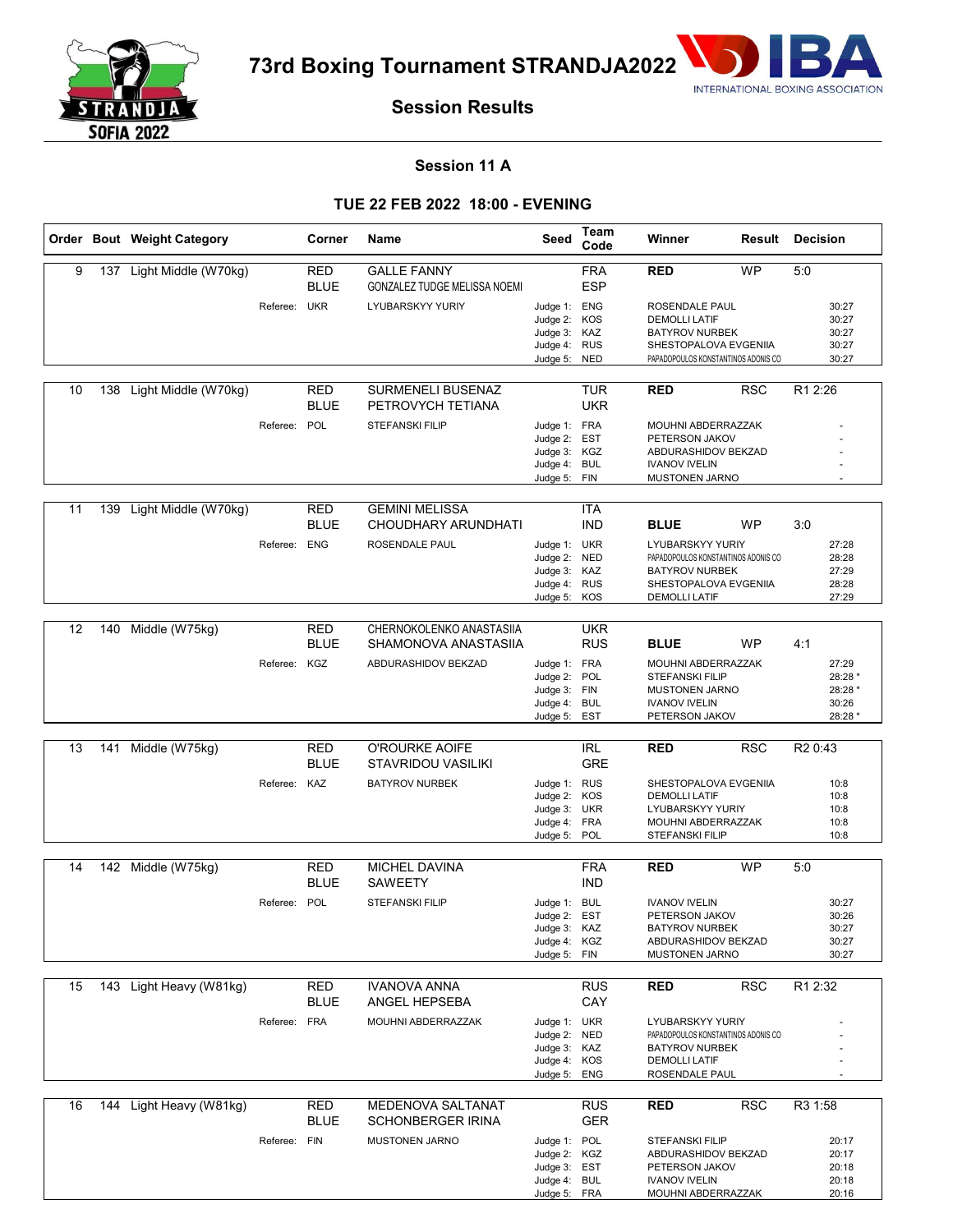

**73rd Boxing Tournament STRANDJA2022**



# **Session Results**

# **Session 11 A**

### **TUE 22 FEB 2022 18:00 - EVENING**

|    |     | Order Bout Weight Category |              | Corner                    | Name                                               | Seed                                                                         | Team<br>Code             | Winner                                                                                                          |            | <b>Result Decision</b>                          |
|----|-----|----------------------------|--------------|---------------------------|----------------------------------------------------|------------------------------------------------------------------------------|--------------------------|-----------------------------------------------------------------------------------------------------------------|------------|-------------------------------------------------|
| 9  |     | 137 Light Middle (W70kg)   |              | <b>RED</b><br><b>BLUE</b> | <b>GALLE FANNY</b><br>GONZALEZ TUDGE MELISSA NOEMI |                                                                              | <b>FRA</b><br><b>ESP</b> | <b>RED</b>                                                                                                      | <b>WP</b>  | 5:0                                             |
|    |     |                            | Referee: UKR |                           | <b>LYUBARSKYY YURIY</b>                            | Judge 1: ENG<br>Judge 2: KOS<br>Judge 3: KAZ<br>Judge 4: RUS                 |                          | ROSENDALE PAUL<br><b>DEMOLLI LATIF</b><br><b>BATYROV NURBEK</b><br>SHESTOPALOVA EVGENIIA                        |            | 30:27<br>30:27<br>30:27                         |
|    |     |                            |              |                           |                                                    | Judge 5: NED                                                                 |                          | PAPADOPOULOS KONSTANTINOS ADONIS CO                                                                             |            | 30:27<br>30:27                                  |
| 10 |     | 138 Light Middle (W70kg)   |              | RED<br><b>BLUE</b>        | <b>SURMENELI BUSENAZ</b><br>PETROVYCH TETIANA      |                                                                              | TUR<br><b>UKR</b>        | <b>RED</b>                                                                                                      | <b>RSC</b> | R1 2:26                                         |
|    |     |                            | Referee: POL |                           | <b>STEFANSKI FILIP</b>                             | Judge 1: FRA<br>Judge 2: EST<br>Judge 3: KGZ<br>Judge 4: BUL<br>Judge 5: FIN |                          | MOUHNI ABDERRAZZAK<br>PETERSON JAKOV<br>ABDURASHIDOV BEKZAD<br><b>IVANOV IVELIN</b><br>MUSTONEN JARNO           |            |                                                 |
| 11 | 139 | Light Middle (W70kg)       |              | <b>RED</b>                | <b>GEMINI MELISSA</b>                              |                                                                              | <b>ITA</b>               |                                                                                                                 |            |                                                 |
|    |     |                            | Referee:     | <b>BLUE</b><br><b>ENG</b> | CHOUDHARY ARUNDHATI<br>ROSENDALE PAUL              | Judge 1: UKR                                                                 | <b>IND</b>               | <b>BLUE</b><br><b>LYUBARSKYY YURIY</b>                                                                          | <b>WP</b>  | 3:0<br>27:28                                    |
|    |     |                            |              |                           |                                                    | Judge 2: NED<br>Judge 3: KAZ<br>Judge 4: RUS<br>Judge 5: KOS                 |                          | PAPADOPOULOS KONSTANTINOS ADONIS CO<br><b>BATYROV NURBEK</b><br>SHESTOPALOVA EVGENIIA<br><b>DEMOLLI LATIF</b>   |            | 28:28<br>27:29<br>28:28<br>27:29                |
|    |     |                            |              |                           |                                                    |                                                                              |                          |                                                                                                                 |            |                                                 |
| 12 | 140 | Middle (W75kg)             |              | <b>RED</b><br><b>BLUE</b> | CHERNOKOLENKO ANASTASIIA<br>SHAMONOVA ANASTASIIA   |                                                                              | UKR<br><b>RUS</b>        | <b>BLUE</b>                                                                                                     | <b>WP</b>  | 4:1                                             |
|    |     |                            | Referee: KGZ |                           | ABDURASHIDOV BEKZAD                                | Judge 1: FRA<br>Judge 2: POL<br>Judge 3: FIN<br>Judge 4: BUL<br>Judge 5: EST |                          | MOUHNI ABDERRAZZAK<br><b>STEFANSKI FILIP</b><br><b>MUSTONEN JARNO</b><br><b>IVANOV IVELIN</b><br>PETERSON JAKOV |            | 27:29<br>28:28 *<br>28:28 *<br>30:26<br>28:28 * |
|    |     |                            |              |                           |                                                    |                                                                              |                          |                                                                                                                 |            |                                                 |
| 13 | 141 | Middle (W75kg)             |              | <b>RED</b><br><b>BLUE</b> | O'ROURKE AOIFE<br>STAVRIDOU VASILIKI               |                                                                              | <b>IRL</b><br><b>GRE</b> | <b>RED</b>                                                                                                      | <b>RSC</b> | R <sub>2</sub> 0:43                             |
|    |     |                            | Referee: KAZ |                           | <b>BATYROV NURBEK</b>                              | Judge 1: RUS<br>Judge 2: KOS                                                 |                          | SHESTOPALOVA EVGENIIA<br><b>DEMOLLI LATIF</b>                                                                   |            | 10:8<br>10:8                                    |
|    |     |                            |              |                           |                                                    | Judge 3: UKR<br>Judge 4: FRA<br>Judge 5: POL                                 |                          | LYUBARSKYY YURIY<br>MOUHNI ABDERRAZZAK<br><b>STEFANSKI FILIP</b>                                                |            | 10:8<br>10:8<br>10:8                            |
|    |     |                            |              |                           |                                                    |                                                                              |                          |                                                                                                                 |            |                                                 |
| 14 |     | 142 Middle (W75kg)         |              | RED<br><b>BLUE</b>        | <b>MICHEL DAVINA</b><br><b>SAWEETY</b>             |                                                                              | <b>FRA</b><br><b>IND</b> | <b>RED</b>                                                                                                      | <b>WP</b>  | 5:0                                             |
|    |     |                            | Referee: POL |                           | <b>STEFANSKI FILIP</b>                             | Judge 1: BUL<br>Judge 2: EST                                                 |                          | <b>IVANOV IVELIN</b><br>PETERSON JAKOV                                                                          |            | 30:27<br>30:26                                  |
|    |     |                            |              |                           |                                                    | Judge 3: KAZ                                                                 |                          | <b>BATYROV NURBEK</b>                                                                                           |            | 30:27                                           |
|    |     |                            |              |                           |                                                    | Judge 4: KGZ<br>Judge 5: FIN                                                 |                          | ABDURASHIDOV BEKZAD<br>MUSTONEN JARNO                                                                           |            | 30:27<br>30:27                                  |
| 15 |     | 143 Light Heavy (W81kg)    |              | <b>RED</b>                | <b>IVANOVA ANNA</b>                                |                                                                              | <b>RUS</b>               | <b>RED</b>                                                                                                      | <b>RSC</b> | R1 2:32                                         |
|    |     |                            |              | <b>BLUE</b>               | ANGEL HEPSEBA                                      |                                                                              | CAY                      |                                                                                                                 |            |                                                 |
|    |     |                            | Referee: FRA |                           | MOUHNI ABDERRAZZAK                                 | Judge 1: UKR<br>Judge 2: NED                                                 |                          | LYUBARSKYY YURIY<br>PAPADOPOULOS KONSTANTINOS ADONIS CO                                                         |            |                                                 |
|    |     |                            |              |                           |                                                    | Judge 3: KAZ<br>Judge 4: KOS<br>Judge 5: ENG                                 |                          | <b>BATYROV NURBEK</b><br><b>DEMOLLI LATIF</b><br>ROSENDALE PAUL                                                 |            |                                                 |
|    |     |                            |              |                           |                                                    |                                                                              |                          |                                                                                                                 |            |                                                 |
| 16 | 144 | Light Heavy (W81kg)        |              | <b>RED</b><br><b>BLUE</b> | MEDENOVA SALTANAT<br><b>SCHONBERGER IRINA</b>      |                                                                              | <b>RUS</b><br><b>GER</b> | <b>RED</b>                                                                                                      | <b>RSC</b> | R3 1:58                                         |
|    |     |                            | Referee: FIN |                           | <b>MUSTONEN JARNO</b>                              | Judge 1: POL<br>Judge 2: KGZ<br>Judge 3: EST<br>Judge 4: BUL                 |                          | <b>STEFANSKI FILIP</b><br>ABDURASHIDOV BEKZAD<br>PETERSON JAKOV<br><b>IVANOV IVELIN</b>                         |            | 20:17<br>20:17<br>20:18<br>20:18                |
|    |     |                            |              |                           |                                                    | Judge 5: FRA                                                                 |                          | MOUHNI ABDERRAZZAK                                                                                              |            | 20:16                                           |